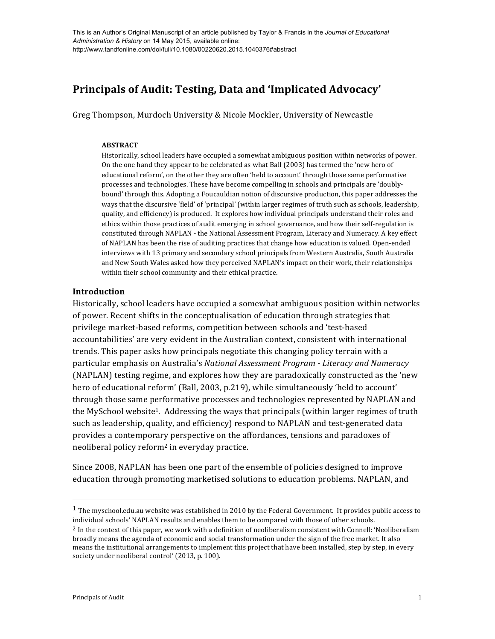# **Principals\*of\*Audit:\*Testing,\*Data\*and\*'Implicated\*Advocacy'**

Greg Thompson, Murdoch University & Nicole Mockler, University of Newcastle

#### **ABSTRACT**

Historically, school leaders have occupied a somewhat ambiguous position within networks of power. On the one hand they appear to be celebrated as what Ball (2003) has termed the 'new hero of educational reform', on the other they are often 'held to account' through those same performative processes and technologies. These have become compelling in schools and principals are 'doublybound' through this. Adopting a Foucauldian notion of discursive production, this paper addresses the ways that the discursive 'field' of 'principal' (within larger regimes of truth such as schools, leadership, quality, and efficiency) is produced. It explores how individual principals understand their roles and ethics within those practices of audit emerging in school governance, and how their self-regulation is constituted through NAPLAN - the National Assessment Program, Literacy and Numeracy. A key effect of NAPLAN has been the rise of auditing practices that change how education is valued. Open-ended interviews with 13 primary and secondary school principals from Western Australia, South Australia and New South Wales asked how they perceived NAPLAN's impact on their work, their relationships within their school community and their ethical practice.

#### **Introduction**

Historically, school leaders have occupied a somewhat ambiguous position within networks of power. Recent shifts in the conceptualisation of education through strategies that privilege market-based reforms, competition between schools and 'test-based accountabilities' are very evident in the Australian context, consistent with international trends. This paper asks how principals negotiate this changing policy terrain with a particular emphasis on Australia's *National Assessment Program - Literacy and Numeracy* (NAPLAN) testing regime, and explores how they are paradoxically constructed as the 'new hero of educational reform' (Ball, 2003, p.219), while simultaneously 'held to account' through those same performative processes and technologies represented by NAPLAN and the MySchool website<sup>1</sup>. Addressing the ways that principals (within larger regimes of truth such as leadership, quality, and efficiency) respond to NAPLAN and test-generated data provides a contemporary perspective on the affordances, tensions and paradoxes of neoliberal policy reform<sup>2</sup> in everyday practice.

Since 2008, NAPLAN has been one part of the ensemble of policies designed to improve education through promoting marketised solutions to education problems. NAPLAN, and

!!!!!!!!!!!!!!!!!!!!!!!!!!!!!!!!!!!!!!!!!!!!!!!!!!!!!!!!!!!!

 $1$  The myschool.edu.au website was established in 2010 by the Federal Government. It provides public access to individual schools' NAPLAN results and enables them to be compared with those of other schools.

 $2$  In the context of this paper, we work with a definition of neoliberalism consistent with Connell: 'Neoliberalism broadly means the agenda of economic and social transformation under the sign of the free market. It also means the institutional arrangements to implement this project that have been installed, step by step, in every society under neoliberal control' (2013, p. 100).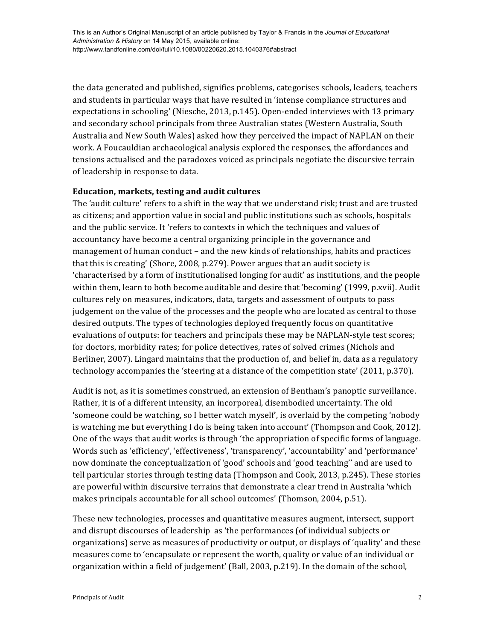the data generated and published, signifies problems, categorises schools, leaders, teachers and students in particular ways that have resulted in 'intense compliance structures and expectations in schooling' (Niesche, 2013, p.145). Open-ended interviews with 13 primary and secondary school principals from three Australian states (Western Australia, South Australia and New South Wales) asked how they perceived the impact of NAPLAN on their work. A Foucauldian archaeological analysis explored the responses, the affordances and tensions actualised and the paradoxes voiced as principals negotiate the discursive terrain of leadership in response to data.

#### Education, markets, testing and audit cultures

The 'audit culture' refers to a shift in the way that we understand risk; trust and are trusted as citizens; and apportion value in social and public institutions such as schools, hospitals and the public service. It 'refers to contexts in which the techniques and values of accountancy have become a central organizing principle in the governance and management of human conduct – and the new kinds of relationships, habits and practices that this is creating' (Shore, 2008, p.279). Power argues that an audit society is 'characterised by a form of institutionalised longing for audit' as institutions, and the people within them, learn to both become auditable and desire that 'becoming' (1999, p.xvii). Audit cultures rely on measures, indicators, data, targets and assessment of outputs to pass judgement on the value of the processes and the people who are located as central to those desired outputs. The types of technologies deployed frequently focus on quantitative evaluations of outputs: for teachers and principals these may be NAPLAN-style test scores; for doctors, morbidity rates; for police detectives, rates of solved crimes (Nichols and Berliner, 2007). Lingard maintains that the production of, and belief in, data as a regulatory technology accompanies the 'steering at a distance of the competition state' (2011, p.370).

Audit is not, as it is sometimes construed, an extension of Bentham's panoptic surveillance. Rather, it is of a different intensity, an incorporeal, disembodied uncertainty. The old 'someone could be watching, so I better watch myself', is overlaid by the competing 'nobody" is watching me but everything I do is being taken into account' (Thompson and Cook, 2012). One of the ways that audit works is through 'the appropriation of specific forms of language. Words such as 'efficiency', 'effectiveness', 'transparency', 'accountability' and 'performance' now dominate the conceptualization of 'good' schools and 'good teaching'' and are used to tell particular stories through testing data (Thompson and Cook, 2013, p.245). These stories are powerful within discursive terrains that demonstrate a clear trend in Australia 'which makes principals accountable for all school outcomes' (Thomson, 2004, p.51).

These new technologies, processes and quantitative measures augment, intersect, support and disrupt discourses of leadership as 'the performances (of individual subjects or organizations) serve as measures of productivity or output, or displays of 'quality' and these measures come to 'encapsulate or represent the worth, quality or value of an individual or organization within a field of judgement' (Ball, 2003, p.219). In the domain of the school,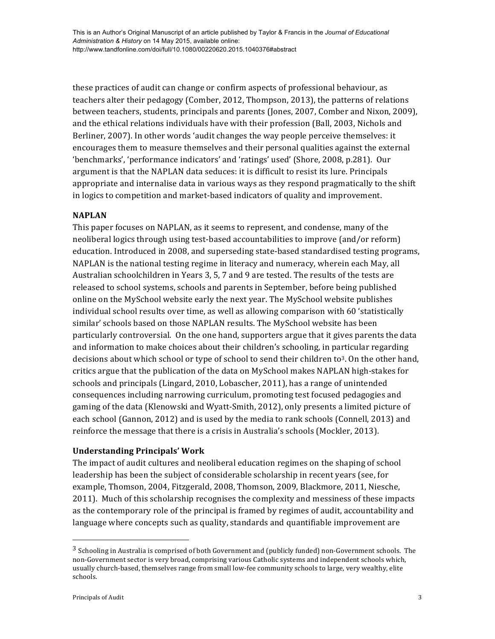these practices of audit can change or confirm aspects of professional behaviour, as teachers alter their pedagogy (Comber, 2012, Thompson, 2013), the patterns of relations between teachers, students, principals and parents (Jones, 2007, Comber and Nixon, 2009), and the ethical relations individuals have with their profession (Ball, 2003, Nichols and Berliner, 2007). In other words 'audit changes the way people perceive themselves: it encourages them to measure themselves and their personal qualities against the external 'benchmarks', 'performance indicators' and 'ratings' used' (Shore, 2008, p.281). Our argument is that the NAPLAN data seduces: it is difficult to resist its lure. Principals appropriate and internalise data in various ways as they respond pragmatically to the shift in logics to competition and market-based indicators of quality and improvement.

# **NAPLAN**

This paper focuses on NAPLAN, as it seems to represent, and condense, many of the neoliberal logics through using test-based accountabilities to improve (and/or reform) education. Introduced in 2008, and superseding state-based standardised testing programs, NAPLAN is the national testing regime in literacy and numeracy, wherein each May, all Australian schoolchildren in Years 3, 5, 7 and 9 are tested. The results of the tests are released to school systems, schools and parents in September, before being published online on the MySchool website early the next year. The MySchool website publishes individual school results over time, as well as allowing comparison with 60 'statistically similar' schools based on those NAPLAN results. The MySchool website has been particularly controversial. On the one hand, supporters argue that it gives parents the data and information to make choices about their children's schooling, in particular regarding decisions about which school or type of school to send their children to<sup>3</sup>. On the other hand, critics argue that the publication of the data on MySchool makes NAPLAN high-stakes for schools and principals (Lingard, 2010, Lobascher, 2011), has a range of unintended consequences including narrowing curriculum, promoting test focused pedagogies and gaming of the data (Klenowski and Wyatt-Smith, 2012), only presents a limited picture of each school (Gannon, 2012) and is used by the media to rank schools (Connell, 2013) and reinforce the message that there is a crisis in Australia's schools (Mockler, 2013).

#### **Understanding\*Principals'\*Work**

!!!!!!!!!!!!!!!!!!!!!!!!!!!!!!!!!!!!!!!!!!!!!!!!!!!!!!!!!!!!

The impact of audit cultures and neoliberal education regimes on the shaping of school leadership has been the subject of considerable scholarship in recent years (see, for example, Thomson, 2004, Fitzgerald, 2008, Thomson, 2009, Blackmore, 2011, Niesche, 2011). Much of this scholarship recognises the complexity and messiness of these impacts as the contemporary role of the principal is framed by regimes of audit, accountability and language where concepts such as quality, standards and quantifiable improvement are

<sup>&</sup>lt;sup>3</sup> Schooling in Australia is comprised of both Government and (publicly funded) non-Government schools. The non-Government sector is very broad, comprising various Catholic systems and independent schools which, usually church-based, themselves range from small low-fee community schools to large, very wealthy, elite schools.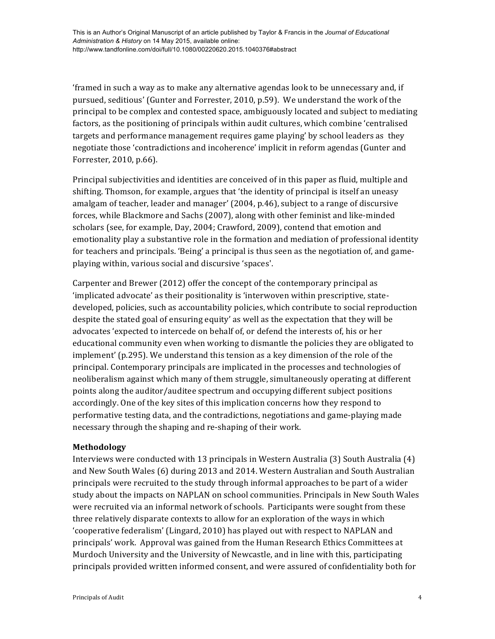'framed in such a way as to make any alternative agendas look to be unnecessary and, if pursued, seditious' (Gunter and Forrester, 2010, p.59). We understand the work of the principal to be complex and contested space, ambiguously located and subject to mediating factors, as the positioning of principals within audit cultures, which combine 'centralised targets and performance management requires game playing' by school leaders as they negotiate those 'contradictions and incoherence' implicit in reform agendas (Gunter and Forrester, 2010, p.66).

Principal subjectivities and identities are conceived of in this paper as fluid, multiple and shifting. Thomson, for example, argues that 'the identity of principal is itself an uneasy amalgam of teacher, leader and manager' (2004, p.46), subject to a range of discursive forces, while Blackmore and Sachs (2007), along with other feminist and like-minded scholars (see, for example, Day, 2004; Crawford, 2009), contend that emotion and emotionality play a substantive role in the formation and mediation of professional identity for teachers and principals. 'Being' a principal is thus seen as the negotiation of, and gameplaying within, various social and discursive 'spaces'.

Carpenter and Brewer  $(2012)$  offer the concept of the contemporary principal as 'implicated advocate' as their positionality is 'interwoven within prescriptive, statedeveloped, policies, such as accountability policies, which contribute to social reproduction despite the stated goal of ensuring equity' as well as the expectation that they will be advocates 'expected to intercede on behalf of, or defend the interests of, his or her educational community even when working to dismantle the policies they are obligated to implement' (p.295). We understand this tension as a key dimension of the role of the principal. Contemporary principals are implicated in the processes and technologies of neoliberalism against which many of them struggle, simultaneously operating at different points along the auditor/auditee spectrum and occupying different subject positions accordingly. One of the key sites of this implication concerns how they respond to performative testing data, and the contradictions, negotiations and game-playing made necessary through the shaping and re-shaping of their work.

# **Methodology**

Interviews were conducted with 13 principals in Western Australia (3) South Australia (4) and New South Wales (6) during 2013 and 2014. Western Australian and South Australian principals were recruited to the study through informal approaches to be part of a wider study about the impacts on NAPLAN on school communities. Principals in New South Wales were recruited via an informal network of schools. Participants were sought from these three relatively disparate contexts to allow for an exploration of the ways in which 'cooperative federalism' (Lingard, 2010) has played out with respect to NAPLAN and principals' work. Approval was gained from the Human Research Ethics Committees at Murdoch University and the University of Newcastle, and in line with this, participating principals provided written informed consent, and were assured of confidentiality both for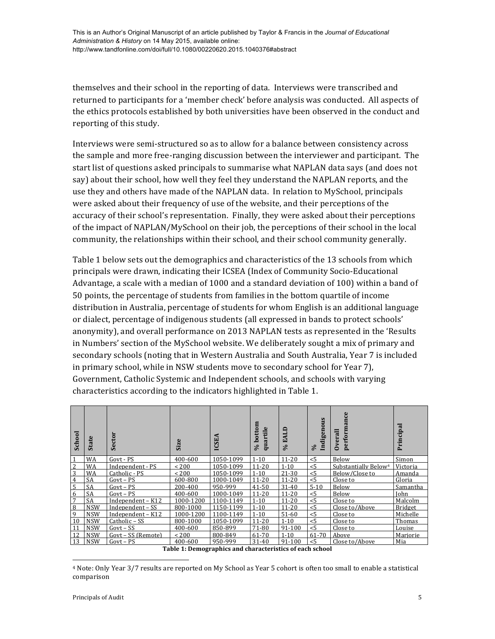themselves and their school in the reporting of data. Interviews were transcribed and returned to participants for a 'member check' before analysis was conducted. All aspects of the ethics protocols established by both universities have been observed in the conduct and reporting of this study.

Interviews were semi-structured so as to allow for a balance between consistency across the sample and more free-ranging discussion between the interviewer and participant. The start list of questions asked principals to summarise what NAPLAN data says (and does not say) about their school, how well they feel they understand the NAPLAN reports, and the use they and others have made of the NAPLAN data. In relation to MySchool, principals were asked about their frequency of use of the website, and their perceptions of the accuracy of their school's representation. Finally, they were asked about their perceptions of the impact of NAPLAN/MySchool on their job, the perceptions of their school in the local community, the relationships within their school, and their school community generally.

Table 1 below sets out the demographics and characteristics of the 13 schools from which principals were drawn, indicating their ICSEA (Index of Community Socio-Educational Advantage, a scale with a median of 1000 and a standard deviation of 100) within a band of 50 points, the percentage of students from families in the bottom quartile of income distribution in Australia, percentage of students for whom English is an additional language or dialect, percentage of indigenous students (all expressed in bands to protect schools' anonymity), and overall performance on 2013 NAPLAN tests as represented in the 'Results in Numbers' section of the MySchool website. We deliberately sought a mix of primary and secondary schools (noting that in Western Australia and South Australia, Year 7 is included in primary school, while in NSW students move to secondary school for Year 7), Government, Catholic Systemic and Independent schools, and schools with varying characteristics according to the indicators highlighted in Table 1.

| School         | <b>State</b> | Sector             | Size         | <b>ICSEA</b> | bottom<br>quartile<br>వ్ | EALD<br>$\%$ | S<br>ō<br>Indigen<br>వి | performance<br>rall<br>Ove       | Principa |
|----------------|--------------|--------------------|--------------|--------------|--------------------------|--------------|-------------------------|----------------------------------|----------|
| $\mathbf{1}$   | WA           | Govt - PS          | 400-600      | 1050-1099    | $1 - 10$                 | $11 - 20$    | $<$ 5                   | Below                            | Simon    |
| 2              | WA           | Independent - PS   | ${}_{200}$   | 1050-1099    | $11 - 20$                | $1 - 10$     | < 5                     | Substantially Below <sup>4</sup> | Victoria |
| 3              | WA           | Catholic - PS      | ${}_{<}$ 200 | 1050-1099    | $1 - 10$                 | 21-30        | < 5                     | Below/Close to                   | Amanda   |
| $\overline{4}$ | <b>SA</b>    | $Govt - PS$        | 600-800      | 1000-1049    | $11 - 20$                | $11 - 20$    | < 5                     | Close to                         | Gloria   |
| 5              | <b>SA</b>    | $Govt - PS$        | 200-400      | 950-999      | 41-50                    | $31 - 40$    | $5 - 10$                | Below                            | Samantha |
| 6              | <b>SA</b>    | $Govt - PS$        | 400-600      | 1000-1049    | $11 - 20$                | $11 - 20$    | $<$ 5                   | Below                            | Iohn     |
| $\overline{7}$ | <b>SA</b>    | Independent - K12  | 1000-1200    | 1100-1149    | $1 - 10$                 | $11 - 20$    | $<$ 5                   | Close to                         | Malcolm  |
| 8              | <b>NSW</b>   | Independent – SS   | 800-1000     | 1150-1199    | $1 - 10$                 | $11 - 20$    | < 5                     | Close to/Above                   | Bridget  |
| 9              | <b>NSW</b>   | Independent - K12  | 1000-1200    | 1100-1149    | $1 - 10$                 | $51-60$      | < 5                     | Close to                         | Michelle |
| 10             | <b>NSW</b>   | Catholic - SS      | 800-1000     | 1050-1099    | $11 - 20$                | $1 - 10$     | < 5                     | Close to                         | Thomas   |
| 11             | <b>NSW</b>   | $Govt - SS$        | 400-600      | 850-899      | 71-80                    | 91-100       | < 5                     | Close to                         | Louise   |
| 12             | <b>NSW</b>   | Govt – SS (Remote) | < 200        | 800-849      | 61-70                    | $1 - 10$     | 61-70                   | Above                            | Mariorie |
| 13             | <b>NSW</b>   | $Govt - PS$        | 400-600      | 950-999      | 31-40                    | 91-100       | < 5                     | Close to/Above                   | Mia      |

Table 1: Demographics and characteristics of each school

!!!!!!!!!!!!!!!!!!!!!!!!!!!!!!!!!!!!!!!!!!!!!!!!!!!!!!!!!!!!

<sup>4</sup> Note: Only Year 3/7 results are reported on My School as Year 5 cohort is often too small to enable a statistical comparison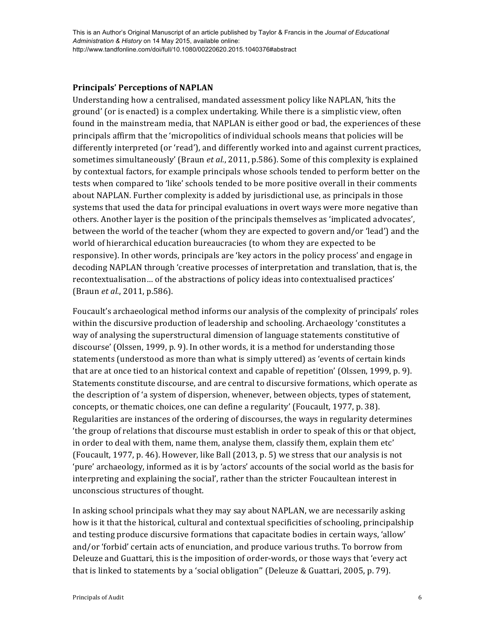#### **Principals' Perceptions of NAPLAN**

Understanding how a centralised, mandated assessment policy like NAPLAN, 'hits the ground' (or is enacted) is a complex undertaking. While there is a simplistic view, often found in the mainstream media, that NAPLAN is either good or bad, the experiences of these principals affirm that the 'micropolitics of individual schools means that policies will be differently interpreted (or 'read'), and differently worked into and against current practices, sometimes simultaneously' (Braun *et al.*, 2011, p.586). Some of this complexity is explained by contextual factors, for example principals whose schools tended to perform better on the tests when compared to 'like' schools tended to be more positive overall in their comments about NAPLAN. Further complexity is added by jurisdictional use, as principals in those systems that used the data for principal evaluations in overt ways were more negative than others. Another layer is the position of the principals themselves as 'implicated advocates', between the world of the teacher (whom they are expected to govern and/or 'lead') and the world of hierarchical education bureaucracies (to whom they are expected to be responsive). In other words, principals are 'key actors in the policy process' and engage in decoding NAPLAN through 'creative processes of interpretation and translation, that is, the recontextualisation... of the abstractions of policy ideas into contextualised practices' (Braun *et al.*, 2011, p.586).

Foucault's archaeological method informs our analysis of the complexity of principals' roles within the discursive production of leadership and schooling. Archaeology 'constitutes a way of analysing the superstructural dimension of language statements constitutive of discourse' (Olssen, 1999, p. 9). In other words, it is a method for understanding those statements (understood as more than what is simply uttered) as 'events of certain kinds that are at once tied to an historical context and capable of repetition' (Olssen, 1999, p. 9). Statements constitute discourse, and are central to discursive formations, which operate as the description of 'a system of dispersion, whenever, between objects, types of statement, concepts, or thematic choices, one can define a regularity' (Foucault, 1977, p. 38). Regularities are instances of the ordering of discourses, the ways in regularity determines 'the group of relations that discourse must establish in order to speak of this or that object, in order to deal with them, name them, analyse them, classify them, explain them etc' (Foucault, 1977, p. 46). However, like Ball (2013, p. 5) we stress that our analysis is not 'pure' archaeology, informed as it is by 'actors' accounts of the social world as the basis for interpreting and explaining the social', rather than the stricter Foucaultean interest in unconscious structures of thought.

In asking school principals what they may say about NAPLAN, we are necessarily asking how is it that the historical, cultural and contextual specificities of schooling, principalship and testing produce discursive formations that capacitate bodies in certain ways, 'allow' and/or 'forbid' certain acts of enunciation, and produce various truths. To borrow from Deleuze and Guattari, this is the imposition of order-words, or those ways that 'every act that is linked to statements by a 'social obligation" (Deleuze & Guattari, 2005, p. 79).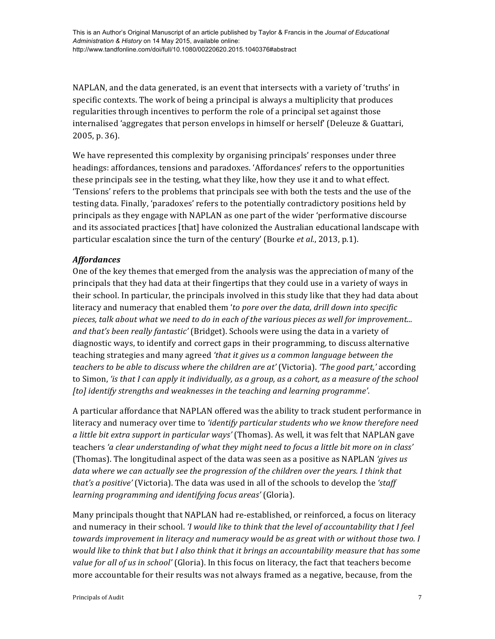NAPLAN, and the data generated, is an event that intersects with a variety of 'truths' in specific contexts. The work of being a principal is always a multiplicity that produces regularities through incentives to perform the role of a principal set against those internalised 'aggregates that person envelops in himself or herself' (Deleuze & Guattari, 2005, p. 36).

We have represented this complexity by organising principals' responses under three headings: affordances, tensions and paradoxes. 'Affordances' refers to the opportunities these principals see in the testing, what they like, how they use it and to what effect. 'Tensions' refers to the problems that principals see with both the tests and the use of the testing data. Finally, 'paradoxes' refers to the potentially contradictory positions held by principals as they engage with NAPLAN as one part of the wider 'performative discourse and its associated practices [that] have colonized the Australian educational landscape with particular escalation since the turn of the century' (Bourke *et al.*, 2013, p.1).

# *Affordances*

One of the key themes that emerged from the analysis was the appreciation of many of the principals that they had data at their fingertips that they could use in a variety of ways in their school. In particular, the principals involved in this study like that they had data about literacy and numeracy that enabled them '*to pore over the data, drill down into specific* pieces, talk about what we need to do in each of the various pieces as well for improvement... and that's been really fantastic' (Bridget). Schools were using the data in a variety of diagnostic ways, to identify and correct gaps in their programming, to discuss alternative teaching strategies and many agreed 'that it gives us a common language between the *teachers to be able to discuss where the children are at'* (Victoria). *'The good part,'* according to Simon, 'is that I can apply it individually, as a group, as a cohort, as a measure of the school [to] identify strengths and weaknesses in the teaching and learning programme'.

A particular affordance that NAPLAN offered was the ability to track student performance in literacy and numeracy over time to *'identify particular students who we know therefore need* a little bit extra support in particular ways' (Thomas). As well, it was felt that NAPLAN gave teachers 'a clear understanding of what they might need to focus a little bit more on in class' (Thomas). The longitudinal aspect of the data was seen as a positive as NAPLAN *'gives us* data where we can actually see the progression of the children over the years. I think that *that's a positive'* (Victoria). The data was used in all of the schools to develop the 'staff' *learning(programming(and(identifying(focus(areas'* (Gloria).

Many principals thought that NAPLAN had re-established, or reinforced, a focus on literacy and numeracy in their school. *'I would like to think that the level of accountability that I feel* towards improvement in literacy and numeracy would be as great with or without those two. I would like to think that but I also think that it brings an accountability measure that has some *value for all of us in school'* (Gloria). In this focus on literacy, the fact that teachers become more accountable for their results was not always framed as a negative, because, from the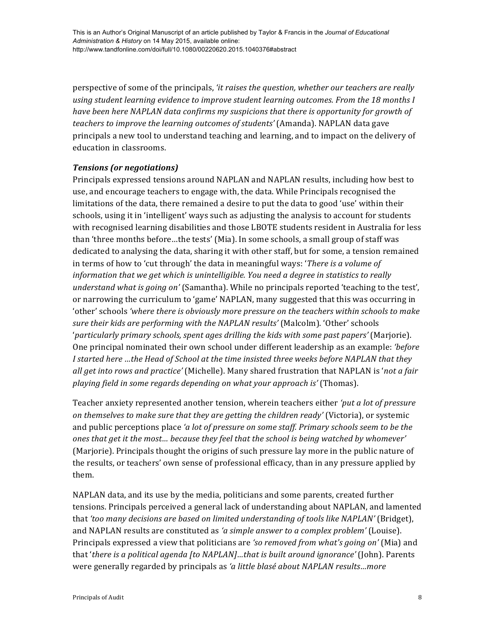perspective of some of the principals, *'it raises the question, whether our teachers are really using student learning evidence to improve student learning outcomes. From the 18 months I* have been here NAPLAN data confirms my suspicions that there is opportunity for growth of *teachers to improve the learning outcomes of students'* (Amanda). NAPLAN data gave principals a new tool to understand teaching and learning, and to impact on the delivery of education in classrooms.

# *Tensions+(or+negotiations)*

Principals expressed tensions around NAPLAN and NAPLAN results, including how best to use, and encourage teachers to engage with, the data. While Principals recognised the limitations of the data, there remained a desire to put the data to good 'use' within their schools, using it in 'intelligent' ways such as adjusting the analysis to account for students with recognised learning disabilities and those LBOTE students resident in Australia for less than 'three months before...the tests' (Mia). In some schools, a small group of staff was dedicated to analysing the data, sharing it with other staff, but for some, a tension remained in terms of how to 'cut through' the data in meaningful ways: 'There is a volume of information that we get which is unintelligible. You need a degree in statistics to really *understand what is going on'* (Samantha). While no principals reported 'teaching to the test', or narrowing the curriculum to 'game' NAPLAN, many suggested that this was occurring in 'other' schools 'where there is obviously more pressure on the teachers within schools to make *sure their kids are performing with the NAPLAN results'* (Malcolm). 'Other' schools '*particularly primary schools, spent ages drilling the kids with some past papers'* (Marjorie). One principal nominated their own school under different leadership as an example: *'before* I started here …the Head of School at the time insisted three weeks before NAPLAN that they *all get into rows and practice'* (Michelle). Many shared frustration that NAPLAN is '*not a fair playing field in some regards depending on what your approach is'* (Thomas).

Teacher anxiety represented another tension, wherein teachers either 'put a lot of pressure *on themselves to make sure that they are getting the children ready'* (Victoria), or systemic and public perceptions place *'a lot of pressure on some staff. Primary schools seem to be the ones that get it the most... because they feel that the school is being watched by whomever'* (Marjorie). Principals thought the origins of such pressure lay more in the public nature of the results, or teachers' own sense of professional efficacy, than in any pressure applied by them.

NAPLAN data, and its use by the media, politicians and some parents, created further tensions. Principals perceived a general lack of understanding about NAPLAN, and lamented that 'too many decisions are based on limited understanding of tools like NAPLAN' (Bridget), and NAPLAN results are constituted as 'a simple answer to a complex problem' (Louise). Principals expressed a view that politicians are *'so removed from what's going on'* (Mia) and that 'there is a political agenda [to NAPLAN]...that is built around ignorance' (John). Parents were generally regarded by principals as 'a little blasé about NAPLAN results...more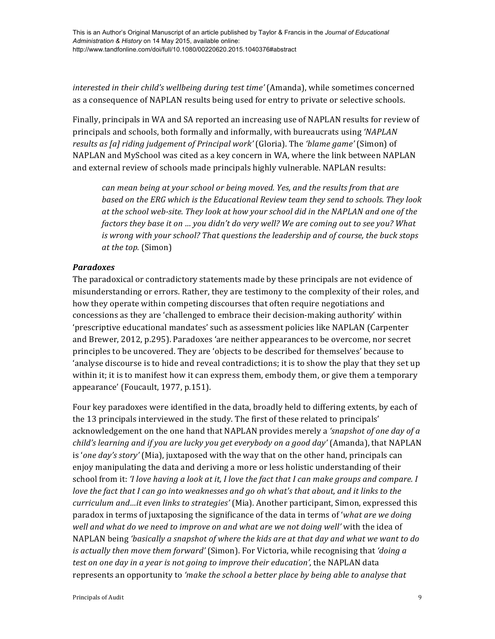*interested in their child's wellbeing during test time'* (Amanda), while sometimes concerned as a consequence of NAPLAN results being used for entry to private or selective schools.

Finally, principals in WA and SA reported an increasing use of NAPLAN results for review of principals and schools, both formally and informally, with bureaucrats using *'NAPLAN results as [a] riding judgement of Principal work'* (Gloria). The '*blame game'* (Simon) of NAPLAN and MySchool was cited as a key concern in WA, where the link between NAPLAN and external review of schools made principals highly vulnerable. NAPLAN results:

 $can$  mean being at your school or being moved. Yes, and the results from that are based on the ERG which is the Educational Review team they send to schools. They look *at the school web-site. They look at how your school did in the NAPLAN and one of the factors they base it on … you didn't do very well? We are coming out to see you? What is wrong with your school? That questions the leadership and of course, the buck stops at the top.* (Simon)

#### *Paradoxes*

The paradoxical or contradictory statements made by these principals are not evidence of misunderstanding or errors. Rather, they are testimony to the complexity of their roles, and how they operate within competing discourses that often require negotiations and concessions as they are 'challenged to embrace their decision-making authority' within 'prescriptive educational mandates' such as assessment policies like NAPLAN (Carpenter and Brewer, 2012, p.295). Paradoxes 'are neither appearances to be overcome, nor secret principles to be uncovered. They are 'objects to be described for themselves' because to 'analyse discourse is to hide and reveal contradictions; it is to show the play that they set up within it; it is to manifest how it can express them, embody them, or give them a temporary appearance' (Foucault, 1977, p.151).

Four key paradoxes were identified in the data, broadly held to differing extents, by each of the 13 principals interviewed in the study. The first of these related to principals' acknowledgement on the one hand that NAPLAN provides merely a *'snapshot of one day of a child's learning and if you are lucky you get everybody on a good day'* (Amanda), that NAPLAN is '*one day's story'* (Mia), juxtaposed with the way that on the other hand, principals can enjoy manipulating the data and deriving a more or less holistic understanding of their school from it: *'I love having a look at it, I love the fact that I can make groups and compare. I love the fact that I can go into weaknesses and go oh what's that about, and it links to the curriculum and…it even links to strategies'* (Mia). Another participant, Simon, expressed this paradox in terms of juxtaposing the significance of the data in terms of '*what are we doing well and what do we need to improve on and what are we not doing well'* with the idea of NAPLAN being *'basically a snapshot of where the kids are at that day and what we want to do is actually then move them forward'* (Simon). For Victoria, while recognising that *'doing a* test on one day in a year is not going to improve their education', the NAPLAN data represents an opportunity to *'make the school a better place by being able to analyse that*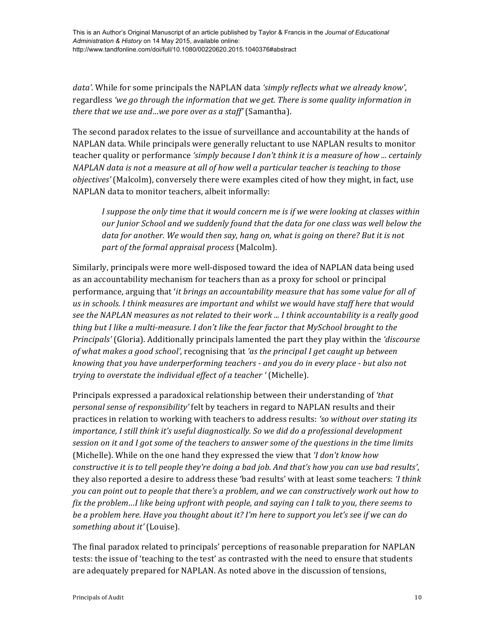*data'*. While for some principals the NAPLAN data 'simply reflects what we already know', regardless *'we go through the information that we get. There is some quality information in there that we use and…we pore over as a staff'* (Samantha).

The second paradox relates to the issue of surveillance and accountability at the hands of NAPLAN data. While principals were generally reluctant to use NAPLAN results to monitor teacher quality or performance 'simply because I don't think it is a measure of how ... certainly *NAPLAN data is not a measure at all of how well a particular teacher is teaching to those objectives'* (Malcolm), conversely there were examples cited of how they might, in fact, use NAPLAN data to monitor teachers, albeit informally:

*I* suppose the only time that it would concern me is if we were looking at classes within *our Junior School and we suddenly found that the data for one class was well below the* data for another. We would then say, hang on, what is going on there? But it is not part of the formal appraisal process (Malcolm).

Similarly, principals were more well-disposed toward the idea of NAPLAN data being used as an accountability mechanism for teachers than as a proxy for school or principal performance, arguing that '*it brings an accountability measure that has some value for all of* us in schools. I think measures are important and whilst we would have staff here that would see the NAPLAN measures as not related to their work ... I think accountability is a really good thing but I like a multi-measure. I don't like the fear factor that MySchool brought to the *Principals'* (Gloria). Additionally principals lamented the part they play within the *'discourse of what makes a good school', recognising that 'as the principal I get caught up between knowing that you have underperforming teachers - and you do in every place - but also not trying to overstate the individual effect of a teacher'* (Michelle).

Principals expressed a paradoxical relationship between their understanding of 'that personal sense of responsibility' felt by teachers in regard to NAPLAN results and their practices in relation to working with teachers to address results: 'so without over stating its *importance, I still think it's useful diagnostically. So we did do a professional development* session on it and I got some of the teachers to answer some of the questions in the time limits (Michelle). While on the one hand they expressed the view that *'I don't know how constructive it is to tell people they're doing a bad job. And that's how you can use bad results',* they also reported a desire to address these 'bad results' with at least some teachers: *'I think you can point out to people that there's a problem, and we can constructively work out how to fix the problem…I like being upfront with people, and saying can I talk to you, there seems to* be a problem here. Have you thought about it? I'm here to support you let's see if we can do *something about it'* (Louise).

The final paradox related to principals' perceptions of reasonable preparation for NAPLAN tests: the issue of 'teaching to the test' as contrasted with the need to ensure that students are adequately prepared for NAPLAN. As noted above in the discussion of tensions,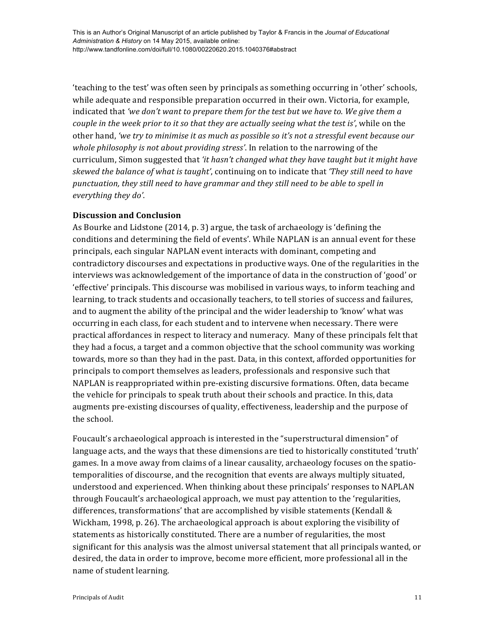'teaching to the test' was often seen by principals as something occurring in 'other' schools, while adequate and responsible preparation occurred in their own. Victoria, for example, indicated that 'we don't want to prepare them for the test but we have to. We give them a *couple in the week prior to it so that they are actually seeing what the test is'*, while on the other hand, 'we try to minimise it as much as possible so it's not a stressful event because our *whole philosophy is not about providing stress'*. In relation to the narrowing of the curriculum, Simon suggested that 'it hasn't changed what they have taught but it might have *skewed the balance of what is taught'*, continuing on to indicate that *'They still need to have* punctuation, they still need to have grammar and they still need to be able to spell in *everything they do'.* 

#### **Discussion and Conclusion**

As Bourke and Lidstone (2014, p. 3) argue, the task of archaeology is 'defining the conditions and determining the field of events'. While NAPLAN is an annual event for these principals, each singular NAPLAN event interacts with dominant, competing and contradictory discourses and expectations in productive ways. One of the regularities in the interviews was acknowledgement of the importance of data in the construction of 'good' or 'effective' principals. This discourse was mobilised in various ways, to inform teaching and learning, to track students and occasionally teachers, to tell stories of success and failures, and to augment the ability of the principal and the wider leadership to 'know' what was occurring in each class, for each student and to intervene when necessary. There were practical affordances in respect to literacy and numeracy. Many of these principals felt that they had a focus, a target and a common objective that the school community was working towards, more so than they had in the past. Data, in this context, afforded opportunities for principals to comport themselves as leaders, professionals and responsive such that NAPLAN is reappropriated within pre-existing discursive formations. Often, data became the vehicle for principals to speak truth about their schools and practice. In this, data augments pre-existing discourses of quality, effectiveness, leadership and the purpose of the school.

Foucault's archaeological approach is interested in the "superstructural dimension" of language acts, and the ways that these dimensions are tied to historically constituted 'truth' games. In a move away from claims of a linear causality, archaeology focuses on the spatiotemporalities of discourse, and the recognition that events are always multiply situated, understood and experienced. When thinking about these principals' responses to NAPLAN through Foucault's archaeological approach, we must pay attention to the 'regularities, differences, transformations' that are accomplished by visible statements (Kendall  $&$ Wickham, 1998, p. 26). The archaeological approach is about exploring the visibility of statements as historically constituted. There are a number of regularities, the most significant for this analysis was the almost universal statement that all principals wanted, or desired, the data in order to improve, become more efficient, more professional all in the name of student learning.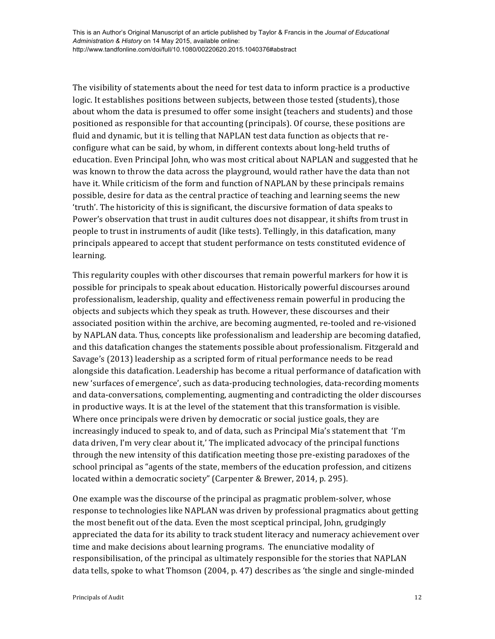The visibility of statements about the need for test data to inform practice is a productive logic. It establishes positions between subjects, between those tested (students), those about whom the data is presumed to offer some insight (teachers and students) and those positioned as responsible for that accounting (principals). Of course, these positions are fluid and dynamic, but it is telling that NAPLAN test data function as objects that reconfigure what can be said, by whom, in different contexts about long-held truths of education. Even Principal John, who was most critical about NAPLAN and suggested that he was known to throw the data across the playground, would rather have the data than not have it. While criticism of the form and function of NAPLAN by these principals remains possible, desire for data as the central practice of teaching and learning seems the new 'truth'. The historicity of this is significant, the discursive formation of data speaks to Power's observation that trust in audit cultures does not disappear, it shifts from trust in people to trust in instruments of audit (like tests). Tellingly, in this datafication, many principals appeared to accept that student performance on tests constituted evidence of learning.

This regularity couples with other discourses that remain powerful markers for how it is possible for principals to speak about education. Historically powerful discourses around professionalism, leadership, quality and effectiveness remain powerful in producing the objects and subjects which they speak as truth. However, these discourses and their associated position within the archive, are becoming augmented, re-tooled and re-visioned by NAPLAN data. Thus, concepts like professionalism and leadership are becoming datafied, and this datafication changes the statements possible about professionalism. Fitzgerald and Savage's (2013) leadership as a scripted form of ritual performance needs to be read alongside this datafication. Leadership has become a ritual performance of datafication with new 'surfaces of emergence', such as data-producing technologies, data-recording moments and data-conversations, complementing, augmenting and contradicting the older discourses in productive ways. It is at the level of the statement that this transformation is visible. Where once principals were driven by democratic or social justice goals, they are increasingly induced to speak to, and of data, such as Principal Mia's statement that 'I'm data driven, I'm very clear about it,' The implicated advocacy of the principal functions through the new intensity of this datification meeting those pre-existing paradoxes of the school principal as "agents of the state, members of the education profession, and citizens located within a democratic society" (Carpenter & Brewer, 2014, p. 295).

One example was the discourse of the principal as pragmatic problem-solver, whose response to technologies like NAPLAN was driven by professional pragmatics about getting the most benefit out of the data. Even the most sceptical principal, John, grudgingly appreciated the data for its ability to track student literacy and numeracy achievement over time and make decisions about learning programs. The enunciative modality of responsibilisation, of the principal as ultimately responsible for the stories that NAPLAN data tells, spoke to what Thomson (2004, p. 47) describes as 'the single and single-minded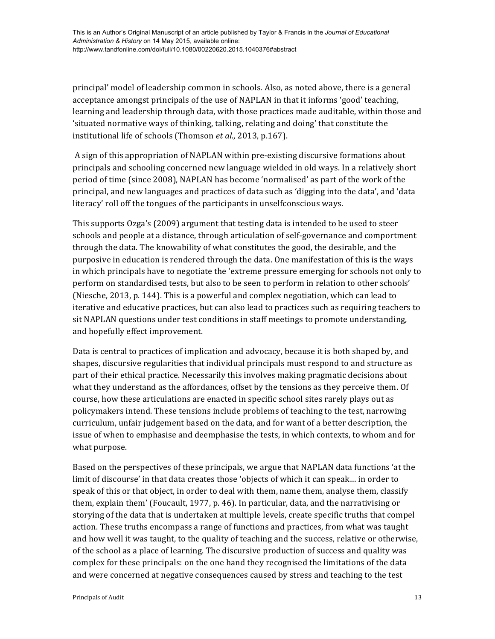principal' model of leadership common in schools. Also, as noted above, there is a general acceptance amongst principals of the use of NAPLAN in that it informs 'good' teaching, learning and leadership through data, with those practices made auditable, within those and 'situated normative ways of thinking, talking, relating and doing' that constitute the institutional life of schools (Thomson *et al.*, 2013, p.167).

A sign of this appropriation of NAPLAN within pre-existing discursive formations about principals and schooling concerned new language wielded in old ways. In a relatively short period of time (since 2008), NAPLAN has become 'normalised' as part of the work of the principal, and new languages and practices of data such as 'digging into the data', and 'data literacy' roll off the tongues of the participants in unselfconscious ways.

This supports Ozga's (2009) argument that testing data is intended to be used to steer schools and people at a distance, through articulation of self-governance and comportment through the data. The knowability of what constitutes the good, the desirable, and the purposive in education is rendered through the data. One manifestation of this is the ways in which principals have to negotiate the 'extreme pressure emerging for schools not only to perform on standardised tests, but also to be seen to perform in relation to other schools' (Niesche, 2013, p. 144). This is a powerful and complex negotiation, which can lead to iterative and educative practices, but can also lead to practices such as requiring teachers to sit NAPLAN questions under test conditions in staff meetings to promote understanding, and hopefully effect improvement.

Data is central to practices of implication and advocacy, because it is both shaped by, and shapes, discursive regularities that individual principals must respond to and structure as part of their ethical practice. Necessarily this involves making pragmatic decisions about what they understand as the affordances, offset by the tensions as they perceive them. Of course, how these articulations are enacted in specific school sites rarely plays out as policymakers intend. These tensions include problems of teaching to the test, narrowing curriculum, unfair judgement based on the data, and for want of a better description, the issue of when to emphasise and deemphasise the tests, in which contexts, to whom and for what purpose.

Based on the perspectives of these principals, we argue that NAPLAN data functions 'at the limit of discourse' in that data creates those 'objects of which it can speak... in order to speak of this or that object, in order to deal with them, name them, analyse them, classify them, explain them' (Foucault, 1977, p. 46). In particular, data, and the narrativising or storying of the data that is undertaken at multiple levels, create specific truths that compel action. These truths encompass a range of functions and practices, from what was taught and how well it was taught, to the quality of teaching and the success, relative or otherwise, of the school as a place of learning. The discursive production of success and quality was complex for these principals: on the one hand they recognised the limitations of the data and were concerned at negative consequences caused by stress and teaching to the test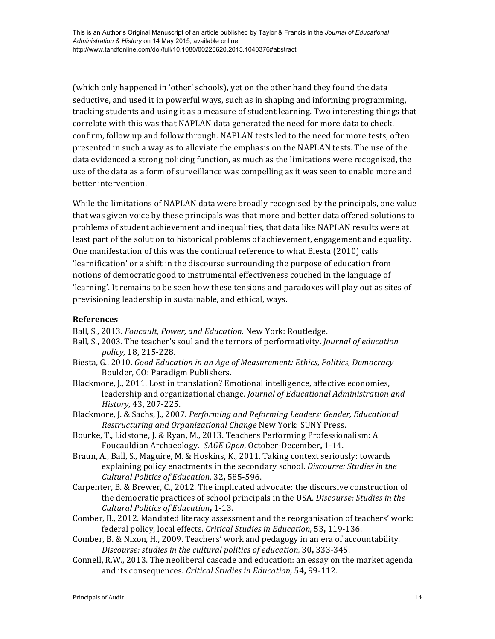(which only happened in 'other' schools), yet on the other hand they found the data seductive, and used it in powerful ways, such as in shaping and informing programming, tracking students and using it as a measure of student learning. Two interesting things that correlate with this was that NAPLAN data generated the need for more data to check, confirm, follow up and follow through. NAPLAN tests led to the need for more tests, often presented in such a way as to alleviate the emphasis on the NAPLAN tests. The use of the data evidenced a strong policing function, as much as the limitations were recognised, the use of the data as a form of surveillance was compelling as it was seen to enable more and better intervention.

While the limitations of NAPLAN data were broadly recognised by the principals, one value that was given voice by these principals was that more and better data offered solutions to problems of student achievement and inequalities, that data like NAPLAN results were at least part of the solution to historical problems of achievement, engagement and equality. One manifestation of this was the continual reference to what Biesta (2010) calls 'learnification' or a shift in the discourse surrounding the purpose of education from notions of democratic good to instrumental effectiveness couched in the language of 'learning'. It remains to be seen how these tensions and paradoxes will play out as sites of previsioning leadership in sustainable, and ethical, ways.

#### **References**

- Ball, S., 2013. *Foucault, Power, and Education*. New York: Routledge.
- Ball, S., 2003. The teacher's soul and the terrors of performativity. *Journal of education policy*, 18, 215-228.
- Biesta, G., 2010. *Good Education in an Age of Measurement: Ethics, Politics, Democracy* Boulder, CO: Paradigm Publishers.
- Blackmore, J., 2011. Lost in translation? Emotional intelligence, affective economies, leadership and organizational change. *Journal of Educational Administration and History*, 43, 207-225.
- Blackmore, J. & Sachs, J., 2007. *Performing and Reforming Leaders: Gender, Educational Restructuring and Organizational Change New York: SUNY Press.*
- Bourke, T., Lidstone, J. & Ryan, M., 2013. Teachers Performing Professionalism: A Foucauldian Archaeology. *SAGE Open, October-December, 1-14.*
- Braun, A., Ball, S., Maguire, M. & Hoskins, K., 2011. Taking context seriously: towards explaining policy enactments in the secondary school. *Discourse: Studies in the Cultural Politics of Education, 32, 585-596.*
- Carpenter, B. & Brewer, C., 2012. The implicated advocate: the discursive construction of the democratic practices of school principals in the USA. *Discourse: Studies in the Cultural Politics of Education*, 1-13.
- Comber, B., 2012. Mandated literacy assessment and the reorganisation of teachers' work: federal policy, local effects. *Critical Studies in Education*, 53, 119-136.
- Comber, B. & Nixon, H., 2009. Teachers' work and pedagogy in an era of accountability. *Discourse: studies in the cultural politics of education,* 30, 333-345.
- Connell, R.W., 2013. The neoliberal cascade and education: an essay on the market agenda and its consequences. *Critical Studies in Education*, 54, 99-112.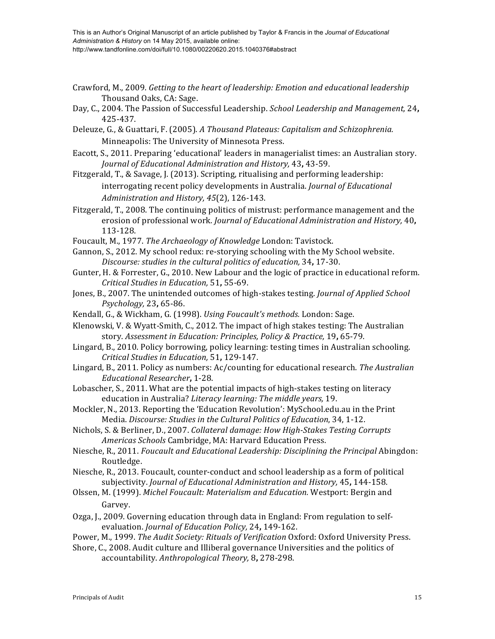- Crawford, M., 2009. *Getting to the heart of leadership: Emotion and educational leadership* Thousand Oaks, CA: Sage.
- Day, C., 2004. The Passion of Successful Leadership. *School Leadership and Management*, 24, 425-437.

Deleuze, G., & Guattari, F. (2005). A Thousand Plateaus: Capitalism and Schizophrenia. Minneapolis: The University of Minnesota Press.

Eacott. S., 2011. Preparing 'educational' leaders in managerialist times: an Australian story. *Journal of Educational Administration and History, 43, 43-59.* 

Fitzgerald, T., & Savage, J. (2013). Scripting, ritualising and performing leadership: interrogating recent policy developments in Australia. *Journal of Educational Administration and History, 45(2), 126-143.* 

Fitzgerald, T., 2008. The continuing politics of mistrust: performance management and the erosion of professional work. *Journal of Educational Administration and History*, 40, 113-128.

- Foucault, M., 1977. *The Archaeology of Knowledge* London: Tavistock.
- Gannon, S., 2012. My school redux: re-storying schooling with the My School website. *Discourse: studies in the cultural politics of education, 34, 17-30.*
- Gunter, H. & Forrester, G., 2010. New Labour and the logic of practice in educational reform. *Critical Studies in Education,* 51, 55-69.
- Jones, B., 2007. The unintended outcomes of high-stakes testing. *Journal of Applied School Psychology*, 23, 65-86.
- Kendall, G., & Wickham, G. (1998). *Using Foucault's methods.* London: Sage.
- Klenowski, V. & Wyatt-Smith, C., 2012. The impact of high stakes testing: The Australian story. Assessment in Education: Principles, Policy & Practice, 19, 65-79.
- Lingard, B., 2010. Policy borrowing, policy learning: testing times in Australian schooling. *Critical Studies in Education,* 51, 129-147.
- Lingard, B., 2011. Policy as numbers: Ac/counting for educational research. The Australian *Educational Researcher*, 1-28.
- Lobascher, S., 2011. What are the potential impacts of high-stakes testing on literacy education in Australia? *Literacy learning: The middle years*, 19.
- Mockler, N., 2013. Reporting the 'Education Revolution': MySchool.edu.au in the Print Media. Discourse: Studies in the Cultural Politics of Education, 34, 1-12.
- Nichols, S. & Berliner, D., 2007. *Collateral damage: How High-Stakes Testing Corrupts* Americas Schools Cambridge, MA: Harvard Education Press.
- Niesche, R., 2011. *Foucault and Educational Leadership: Disciplining the Principal Abingdon:* Routledge.
- Niesche, R., 2013. Foucault, counter-conduct and school leadership as a form of political subjectivity. *Journal of Educational Administration and History*, 45, 144-158.
- Olssen, M. (1999). *Michel Foucault: Materialism and Education*. Westport: Bergin and Garvey.
- Ozga, J., 2009. Governing education through data in England: From regulation to selfevaluation. *Journal of Education Policy*, 24, 149-162.

Power, M., 1999. *The Audit Society: Rituals of Verification* Oxford: Oxford University Press.

Shore, C., 2008. Audit culture and Illiberal governance Universities and the politics of accountability. Anthropological Theory, 8, 278-298.